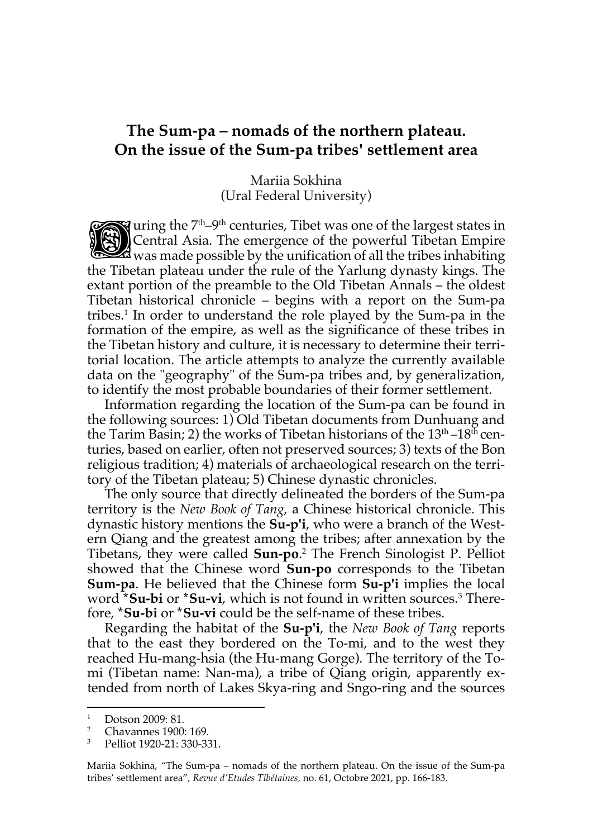## **The Sum-pa – nomads of the northern plateau. On the issue of the Sum-pa tribesꞌ settlement area**

Mariia Sokhina (Ural Federal University)

uring the 7<sup>th</sup>–9<sup>th</sup> centuries, Tibet was one of the largest states in Central Asia. The emergence of the powerful Tibetan Empire was made possible by the unification of all the tribes inhabiting the Tibetan plateau under the rule of the Yarlung dynasty kings. The extant portion of the preamble to the Old Tibetan Annals – the oldest Tibetan historical chronicle – begins with a report on the Sum-pa tribes.<sup>1</sup> In order to understand the role played by the Sum-pa in the formation of the empire, as well as the significance of these tribes in the Tibetan history and culture, it is necessary to determine their territorial location. The article attempts to analyze the currently available data on the "geography" of the Sum-pa tribes and, by generalization, to identify the most probable boundaries of their former settlement. **D** 

Information regarding the location of the Sum-pa can be found in the following sources: 1) Old Tibetan documents from Dunhuang and the Tarim Basin; 2) the works of Tibetan historians of the  $13<sup>th</sup> - 18<sup>th</sup>$  centuries, based on earlier, often not preserved sources; 3) texts of the Bon religious tradition; 4) materials of archaeological research on the territory of the Tibetan plateau; 5) Chinese dynastic chronicles.

The only source that directly delineated the borders of the Sum-pa territory is the *New Book of Tang*, a Chinese historical chronicle. This dynastic history mentions the **Su-p'i**, who were a branch of the Western Qiang and the greatest among the tribes; after annexation by the Tibetans, they were called **Sun-po**. <sup>2</sup> The French Sinologist P. Pelliot showed that the Chinese word **Sun-po** corresponds to the Tibetan **Sum-pa**. He believed that the Chinese form **Su-p'i** implies the local word **\*Su-bi** or **\*Su-vi**, which is not found in written sources.3 Therefore, **\*Su-bi** or **\*Su-vi** could be the self-name of these tribes.

Regarding the habitat of the **Su-p'i**, the *New Book of Tang* reports that to the east they bordered on the To-mi, and to the west they reached Hu-mang-hsia (the Hu-mang Gorge). The territory of the Tomi (Tibetan name: Nan-ma), a tribe of Qiang origin, apparently extended from north of Lakes Skya-ring and Sngo-ring and the sources

Mariia Sokhina, "The Sum-pa – nomads of the northern plateau. On the issue of the Sum-pa tribes' settlement area", *Revue d'Etudes Tibétaines*, no. 61, Octobre 2021, pp. 166-183.

 $\frac{1}{2}$  Dotson 2009: 81.

<sup>2</sup> Chavannes 1900: 169.

<sup>3</sup> Pelliot 1920-21: 330-331.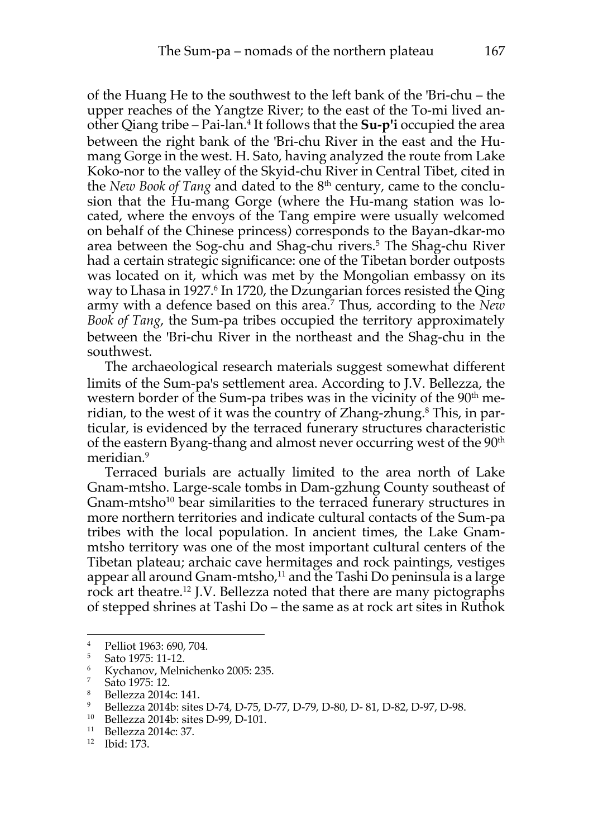of the Huang He to the southwest to the left bank of the 'Bri-chu – the upper reaches of the Yangtze River; to the east of the To-mi lived another Qiang tribe – Pai-lan.4 It follows that the **Su-p'i** occupied the area between the right bank of the 'Bri-chu River in the east and the Humang Gorge in the west. H. Sato, having analyzed the route from Lake Koko-nor to the valley of the Skyid-chu River in Central Tibet, cited in the *New Book of Tang* and dated to the 8<sup>th</sup> century, came to the conclusion that the Hu-mang Gorge (where the Hu-mang station was located, where the envoys of the Tang empire were usually welcomed on behalf of the Chinese princess) corresponds to the Bayan-dkar-mo area between the Sog-chu and Shag-chu rivers. <sup>5</sup> The Shag-chu River had a certain strategic significance: one of the Tibetan border outposts was located on it, which was met by the Mongolian embassy on its way to Lhasa in 1927.<sup>6</sup> In 1720, the Dzungarian forces resisted the Qing army with a defence based on this area.7 Thus, according to the *New Book of Tang*, the Sum-pa tribes occupied the territory approximately between the 'Bri-chu River in the northeast and the Shag-chu in the southwest.

The archaeological research materials suggest somewhat different limits of the Sum-pa's settlement area. According to J.V. Bellezza, the western border of the Sum-pa tribes was in the vicinity of the 90<sup>th</sup> meridian, to the west of it was the country of Zhang-zhung. <sup>8</sup> This, in particular, is evidenced by the terraced funerary structures characteristic of the eastern Byang-thang and almost never occurring west of the  $90<sup>th</sup>$ meridian.<sup>9</sup>

Terraced burials are actually limited to the area north of Lake Gnam-mtsho. Large-scale tombs in Dam-gzhung County southeast of Gnam-mtsho<sup>10</sup> bear similarities to the terraced funerary structures in more northern territories and indicate cultural contacts of the Sum-pa tribes with the local population. In ancient times, the Lake Gnammtsho territory was one of the most important cultural centers of the Tibetan plateau; archaic cave hermitages and rock paintings, vestiges appear all around Gnam-mtsho, <sup>11</sup> and the Tashi Do peninsula is a large rock art theatre.12 J.V. Bellezza noted that there are many pictographs of stepped shrines at Tashi Do – the same as at rock art sites in Ruthok

<sup>4</sup> Pelliot 1963: 690, 704.

<sup>5</sup> Sato 1975: 11-12.

 $\frac{6}{7}$  Kychanov, Melnichenko 2005: 235.

 $\frac{7}{8}$  Sato 1975: 12.

<sup>&</sup>lt;sup>8</sup> Bellezza 2014c: 141.

<sup>9</sup> Bellezza 2014b: sites D-74, D-75, D-77, D-79, D-80, D- 81, D-82, D-97, D-98.

<sup>10</sup> Bellezza 2014b: sites D-99, D-101.

<sup>11</sup> Bellezza 2014c: 37.

<sup>12</sup> Ibid: 173.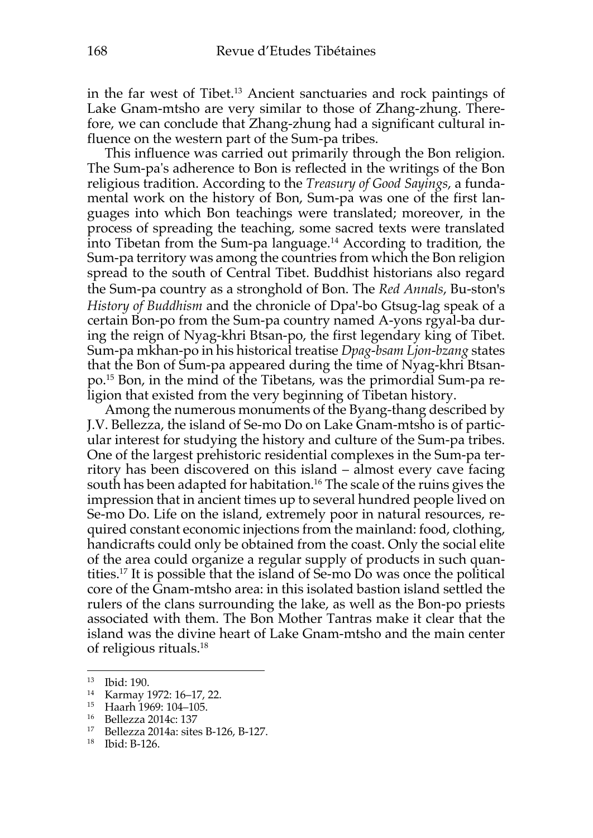in the far west of Tibet.13 Ancient sanctuaries and rock paintings of Lake Gnam-mtsho are very similar to those of Zhang-zhung. Therefore, we can conclude that Zhang-zhung had a significant cultural influence on the western part of the Sum-pa tribes.

This influence was carried out primarily through the Bon religion. The Sum-pa's adherence to Bon is reflected in the writings of the Bon religious tradition. According to the *Treasury of Good Sayings*, a fundamental work on the history of Bon, Sum-pa was one of the first languages into which Bon teachings were translated; moreover, in the process of spreading the teaching, some sacred texts were translated into Tibetan from the Sum-pa language.<sup>14</sup> According to tradition, the Sum-pa territory was among the countries from which the Bon religion spread to the south of Central Tibet. Buddhist historians also regard the Sum-pa country as a stronghold of Bon. The *Red Annals*, Bu-ston's *History of Buddhism* and the chronicle of Dpa'-bo Gtsug-lag speak of a certain Bon-po from the Sum-pa country named A-yons rgyal-ba during the reign of Nyag-khri Btsan-po, the first legendary king of Tibet. Sum-pa mkhan-po in his historical treatise *Dpag-bsam Ljon-bzang* states that the Bon of Sum-pa appeared during the time of Nyag-khri Btsanpo. <sup>15</sup> Bon, in the mind of the Tibetans, was the primordial Sum-pa religion that existed from the very beginning of Tibetan history.

Among the numerous monuments of the Byang-thang described by J.V. Bellezza, the island of Se-mo Do on Lake Gnam-mtsho is of particular interest for studying the history and culture of the Sum-pa tribes. One of the largest prehistoric residential complexes in the Sum-pa territory has been discovered on this island – almost every cave facing south has been adapted for habitation.<sup>16</sup> The scale of the ruins gives the impression that in ancient times up to several hundred people lived on Se-mo Do. Life on the island, extremely poor in natural resources, required constant economic injections from the mainland: food, clothing, handicrafts could only be obtained from the coast. Only the social elite of the area could organize a regular supply of products in such quantities.17 It is possible that the island of Se-mo Do was once the political core of the Gnam-mtsho area: in this isolated bastion island settled the rulers of the clans surrounding the lake, as well as the Bon-po priests associated with them. The Bon Mother Tantras make it clear that the island was the divine heart of Lake Gnam-mtsho and the main center of religious rituals.18

<sup>13</sup> Ibid: 190.

<sup>14</sup> Karmay 1972: 16–17, 22.

<sup>15</sup> Haarh 1969: 104–105.

<sup>16</sup> Bellezza 2014c: 137

<sup>17</sup> Bellezza 2014a: sites B-126, B-127.

<sup>18</sup> Ibid: B-126.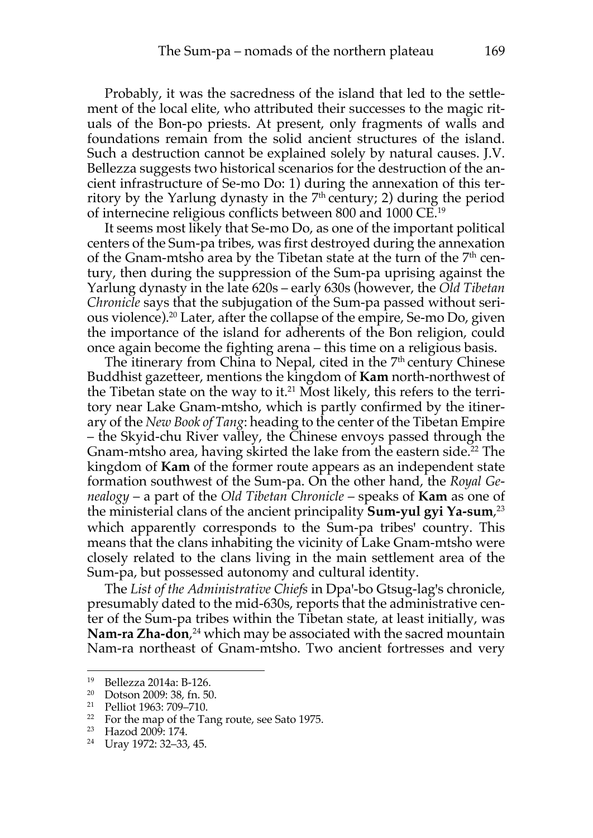Probably, it was the sacredness of the island that led to the settlement of the local elite, who attributed their successes to the magic rituals of the Bon-po priests. At present, only fragments of walls and foundations remain from the solid ancient structures of the island. Such a destruction cannot be explained solely by natural causes. J.V. Bellezza suggests two historical scenarios for the destruction of the ancient infrastructure of Se-mo Do: 1) during the annexation of this territory by the Yarlung dynasty in the  $7<sup>th</sup>$  century; 2) during the period of internecine religious conflicts between 800 and 1000 CE.19

It seems most likely that Se-mo Do, as one of the important political centers of the Sum-pa tribes, was first destroyed during the annexation of the Gnam-mtsho area by the Tibetan state at the turn of the  $7<sup>th</sup>$  century, then during the suppression of the Sum-pa uprising against the Yarlung dynasty in the late 620s – early 630s (however, the *Old Tibetan Chronicle* says that the subjugation of the Sum-pa passed without serious violence).20 Later, after the collapse of the empire, Se-mo Do, given the importance of the island for adherents of the Bon religion, could once again become the fighting arena – this time on a religious basis.

The itinerary from China to Nepal, cited in the  $7<sup>th</sup>$  century Chinese Buddhist gazetteer, mentions the kingdom of **Kam** north-northwest of the Tibetan state on the way to it. <sup>21</sup> Most likely, this refers to the territory near Lake Gnam-mtsho, which is partly confirmed by the itinerary of the *New Book of Tang*: heading to the center of the Tibetan Empire – the Skyid-chu River valley, the Chinese envoys passed through the Gnam-mtsho area, having skirted the lake from the eastern side. <sup>22</sup> The kingdom of **Kam** of the former route appears as an independent state formation southwest of the Sum-pa. On the other hand, the *Royal Genealogy* – a part of the *Old Tibetan Chronicle* – speaks of **Kam** as one of the ministerial clans of the ancient principality **Sum-yul gyi Ya-sum**, 23 which apparently corresponds to the Sum-pa tribes' country. This means that the clans inhabiting the vicinity of Lake Gnam-mtsho were closely related to the clans living in the main settlement area of the Sum-pa, but possessed autonomy and cultural identity.

The *List of the Administrative Chiefs* in Dpa'-bo Gtsug-lag's chronicle, presumably dated to the mid-630s, reports that the administrative center of the Sum-pa tribes within the Tibetan state, at least initially, was **Nam-ra Zha-don**, <sup>24</sup> which may be associated with the sacred mountain Nam-ra northeast of Gnam-mtsho. Two ancient fortresses and very

<sup>19</sup> Bellezza 2014a: B-126.

<sup>20</sup> Dotson 2009: 38, fn. 50.

<sup>21</sup> Pelliot 1963: 709–710.

<sup>&</sup>lt;sup>22</sup> For the map of the Tang route, see Sato 1975.

<sup>23</sup> Hazod 2009: 174.

<sup>24</sup> Uray 1972: 32–33, 45.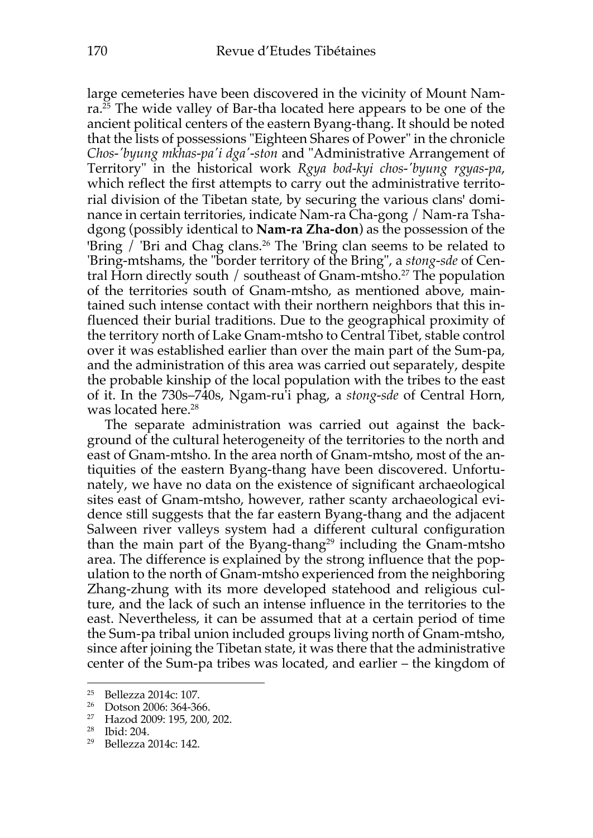large cemeteries have been discovered in the vicinity of Mount Namra.25 The wide valley of Bar-tha located here appears to be one of the ancient political centers of the eastern Byang-thang. It should be noted that the lists of possessions "Eighteen Shares of Power" in the chronicle *Chos-'byung mkhas-pa'i dga'-ston* and "Administrative Arrangement of Territory" in the historical work *Rgya bod-kyi chos-'byung rgyas-pa*, which reflect the first attempts to carry out the administrative territorial division of the Tibetan state, by securing the various clans' dominance in certain territories, indicate Nam-ra Cha-gong / Nam-ra Tshadgong (possibly identical to **Nam-ra Zha-don**) as the possession of the 'Bring / 'Bri and Chag clans.<sup>26</sup> The 'Bring clan seems to be related to 'Bring-mtshams, the "border territory of the Bring", a *stong-sde* of Central Horn directly south / southeast of Gnam-mtsho. <sup>27</sup> The population of the territories south of Gnam-mtsho, as mentioned above, maintained such intense contact with their northern neighbors that this influenced their burial traditions. Due to the geographical proximity of the territory north of Lake Gnam-mtsho to Central Tibet, stable control over it was established earlier than over the main part of the Sum-pa, and the administration of this area was carried out separately, despite the probable kinship of the local population with the tribes to the east of it. In the 730s–740s, Ngam-ru'i phag, a *stong-sde* of Central Horn, was located here. 28

The separate administration was carried out against the background of the cultural heterogeneity of the territories to the north and east of Gnam-mtsho. In the area north of Gnam-mtsho, most of the antiquities of the eastern Byang-thang have been discovered. Unfortunately, we have no data on the existence of significant archaeological sites east of Gnam-mtsho, however, rather scanty archaeological evidence still suggests that the far eastern Byang-thang and the adjacent Salween river valleys system had a different cultural configuration than the main part of the Byang-thang<sup>29</sup> including the Gnam-mtsho area. The difference is explained by the strong influence that the population to the north of Gnam-mtsho experienced from the neighboring Zhang-zhung with its more developed statehood and religious culture, and the lack of such an intense influence in the territories to the east. Nevertheless, it can be assumed that at a certain period of time the Sum-pa tribal union included groups living north of Gnam-mtsho, since after joining the Tibetan state, it was there that the administrative center of the Sum-pa tribes was located, and earlier – the kingdom of

 $\frac{25}{26}$  Bellezza 2014c: 107.

Dotson 2006: 364-366.

<sup>27</sup> Hazod 2009: 195, 200, 202.

<sup>28</sup> Ibid: 204.

<sup>29</sup> Bellezza 2014c: 142.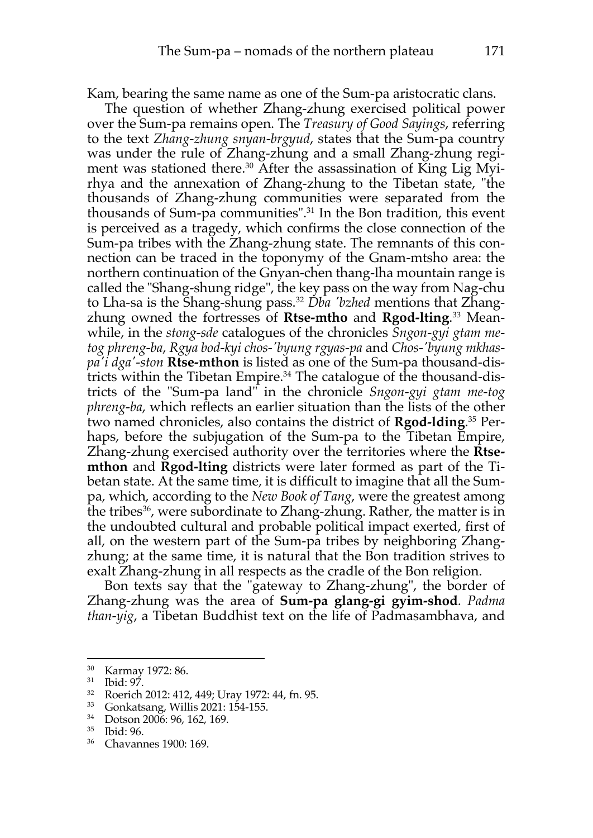Kam, bearing the same name as one of the Sum-pa aristocratic clans.

The question of whether Zhang-zhung exercised political power over the Sum-pa remains open. The *Treasury of Good Sayings*, referring to the text *Zhang-zhung snyan-brgyud*, states that the Sum-pa country was under the rule of Zhang-zhung and a small Zhang-zhung regiment was stationed there. <sup>30</sup> After the assassination of King Lig Myirhya and the annexation of Zhang-zhung to the Tibetan state, "the thousands of Zhang-zhung communities were separated from the thousands of Sum-pa communities". <sup>31</sup> In the Bon tradition, this event is perceived as a tragedy, which confirms the close connection of the Sum-pa tribes with the Zhang-zhung state. The remnants of this connection can be traced in the toponymy of the Gnam-mtsho area: the northern continuation of the Gnyan-chen thang-lha mountain range is called the "Shang-shung ridge", the key pass on the way from Nag-chu to Lha-sa is the Shang-shung pass.32 *Dba 'bzhed* mentions that Zhangzhung owned the fortresses of **Rtse-mtho** and **Rgod-lting**. <sup>33</sup> Meanwhile, in the *stong-sde* catalogues of the chronicles *Sngon-gyi gtam metog phreng-ba*, *Rgya bod-kyi chos-'byung rgyas-pa* and *Chos-'byung mkhaspa'i dga'-ston* **Rtse-mthon** is listed as one of the Sum-pa thousand-districts within the Tibetan Empire.34 The catalogue of the thousand-districts of the "Sum-pa land" in the chronicle *Sngon-gyi gtam me-tog phreng-ba*, which reflects an earlier situation than the lists of the other two named chronicles, also contains the district of **Rgod-lding**. <sup>35</sup> Perhaps, before the subjugation of the Sum-pa to the Tibetan Empire, Zhang-zhung exercised authority over the territories where the **Rtsemthon** and **Rgod-lting** districts were later formed as part of the Tibetan state. At the same time, it is difficult to imagine that all the Sumpa, which, according to the *New Book of Tang*, were the greatest among the tribes<sup>36</sup>, were subordinate to Zhang-zhung. Rather, the matter is in the undoubted cultural and probable political impact exerted, first of all, on the western part of the Sum-pa tribes by neighboring Zhangzhung; at the same time, it is natural that the Bon tradition strives to exalt Zhang-zhung in all respects as the cradle of the Bon religion.

Bon texts say that the "gateway to Zhang-zhung", the border of Zhang-zhung was the area of **Sum-pa glang-gi gyim-shod**. *Padma than-yig*, a Tibetan Buddhist text on the life of Padmasambhava, and

<sup>30</sup> Karmay 1972: 86.

 $rac{31}{32}$  Ibid: 97.

 $\frac{32}{33}$  Roerich 2012: 412, 449; Uray 1972: 44, fn. 95.

 $\frac{33}{34}$  Gonkatsang, Willis 2021: 154-155.<br> $\frac{34}{34}$  Dotson 2006: 96, 162, 169

 $\frac{34}{35}$  Dotson 2006: 96, 162, 169.

 $\frac{35}{36}$  Ibid: 96.

Chavannes 1900: 169.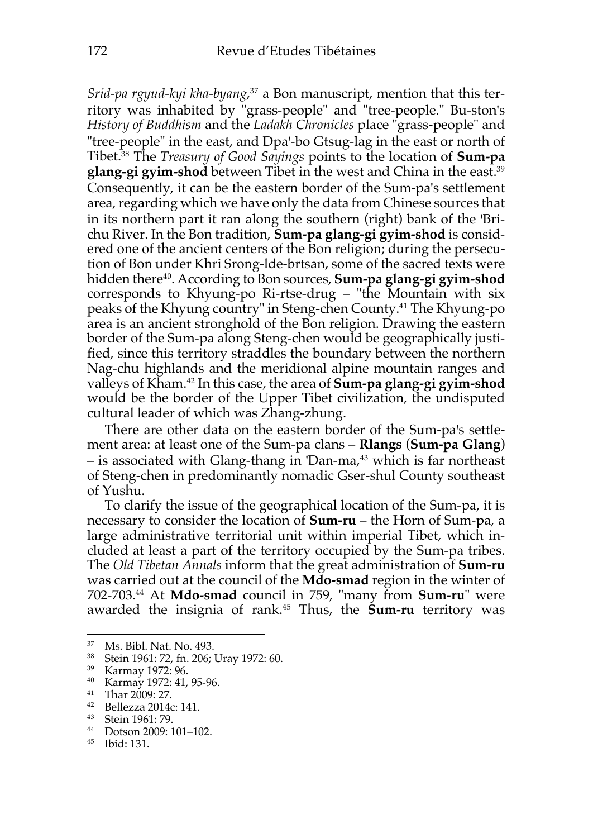*Srid-pa rgyud-kyi kha-byang*, <sup>37</sup> a Bon manuscript, mention that this territory was inhabited by "grass-people" and "tree-people." Bu-ston's *History of Buddhism* and the *Ladakh Chronicles* place "grass-people" and "tree-people" in the east, and Dpa'-bo Gtsug-lag in the east or north of Tibet.38 The *Treasury of Good Sayings* points to the location of **Sum-pa glang-gi gyim-shod** between Tibet in the west and China in the east.39 Consequently, it can be the eastern border of the Sum-pa's settlement area, regarding which we have only the data from Chinese sources that in its northern part it ran along the southern (right) bank of the 'Brichu River. In the Bon tradition, **Sum-pa glang-gi gyim-shod** is considered one of the ancient centers of the Bon religion; during the persecution of Bon under Khri Srong-lde-brtsan, some of the sacred texts were hidden there40. According to Bon sources, **Sum-pa glang-gi gyim-shod** corresponds to Khyung-po Ri-rtse-drug – "the Mountain with six peaks of the Khyung country" in Steng-chen County.41 The Khyung-po area is an ancient stronghold of the Bon religion. Drawing the eastern border of the Sum-pa along Steng-chen would be geographically justified, since this territory straddles the boundary between the northern Nag-chu highlands and the meridional alpine mountain ranges and valleys of Kham.42 In this case, the area of **Sum-pa glang-gi gyim-shod** would be the border of the Upper Tibet civilization, the undisputed cultural leader of which was Zhang-zhung.

There are other data on the eastern border of the Sum-pa's settlement area: at least one of the Sum-pa clans – **Rlangs** (**Sum-pa Glang**) – is associated with Glang-thang in 'Dan-ma,<sup>43</sup> which is far northeast of Steng-chen in predominantly nomadic Gser-shul County southeast of Yushu.

To clarify the issue of the geographical location of the Sum-pa, it is necessary to consider the location of **Sum-ru** – the Horn of Sum-pa, a large administrative territorial unit within imperial Tibet, which included at least a part of the territory occupied by the Sum-pa tribes. The *Old Tibetan Annals* inform that the great administration of **Sum-ru** was carried out at the council of the **Mdo-smad** region in the winter of 702-703.44 At **Mdo-smad** council in 759, "many from **Sum-ru**" were awarded the insignia of rank. <sup>45</sup> Thus, the **Sum-ru** territory was

<sup>&</sup>lt;sup>37</sup> Ms. Bibl. Nat. No. 493.<br><sup>38</sup> Stoin 1961: 72 fp. 206:

<sup>38</sup> Stein 1961: 72, fn. 206; Uray 1972: 60.

<sup>39</sup> Karmay 1972: 96.

<sup>40</sup> Karmay 1972: 41, 95-96.

 $^{41}$  Thar 2009: 27.<br> $^{42}$  Bellezza 2014

<sup>42</sup> Bellezza 2014c: 141.

 $^{43}$  Stein 1961: 79.

Dotson 2009: 101–102.

<sup>45</sup> Ibid: 131.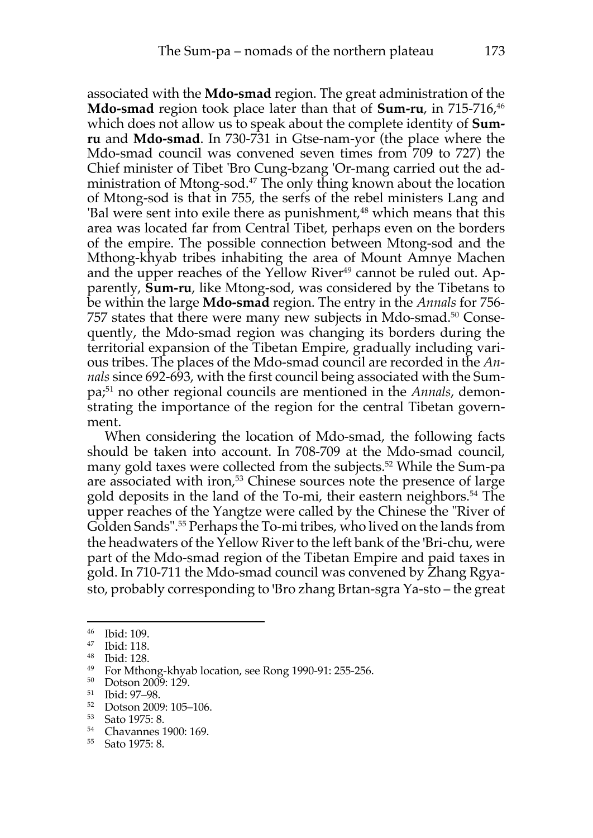associated with the **Mdo-smad** region. The great administration of the **Mdo-smad** region took place later than that of **Sum-ru**, in 715-716,<sup>46</sup> which does not allow us to speak about the complete identity of **Sumru** and **Mdo-smad**. In 730-731 in Gtse-nam-yor (the place where the Mdo-smad council was convened seven times from 709 to 727) the Chief minister of Tibet 'Bro Cung-bzang 'Or-mang carried out the administration of Mtong-sod.<sup>47</sup> The only thing known about the location of Mtong-sod is that in 755, the serfs of the rebel ministers Lang and 'Bal were sent into exile there as punishment,<sup>48</sup> which means that this area was located far from Central Tibet, perhaps even on the borders of the empire. The possible connection between Mtong-sod and the Mthong-khyab tribes inhabiting the area of Mount Amnye Machen and the upper reaches of the Yellow River<sup>49</sup> cannot be ruled out. Apparently, **Sum-ru**, like Mtong-sod, was considered by the Tibetans to be within the large **Mdo-smad** region. The entry in the *Annals* for 756- 757 states that there were many new subjects in Mdo-smad.50 Consequently, the Mdo-smad region was changing its borders during the territorial expansion of the Tibetan Empire, gradually including various tribes. The places of the Mdo-smad council are recorded in the *Annals* since 692-693, with the first council being associated with the Sumpa; <sup>51</sup> no other regional councils are mentioned in the *Annals*, demonstrating the importance of the region for the central Tibetan government.

When considering the location of Mdo-smad, the following facts should be taken into account. In 708-709 at the Mdo-smad council, many gold taxes were collected from the subjects.<sup>52</sup> While the Sum-pa are associated with iron,<sup>53</sup> Chinese sources note the presence of large gold deposits in the land of the To-mi, their eastern neighbors.54 The upper reaches of the Yangtze were called by the Chinese the "River of Golden Sands".55 Perhaps the To-mi tribes, who lived on the lands from the headwaters of the Yellow River to the left bank of the 'Bri-chu, were part of the Mdo-smad region of the Tibetan Empire and paid taxes in gold. In 710-711 the Mdo-smad council was convened by Zhang Rgyasto, probably corresponding to 'Bro zhang Brtan-sgra Ya-sto – the great

 $\frac{46}{47}$  Ibid: 109.

Ibid: 118.

 $^{48}$  Ibid: 128.

<sup>49</sup> For Mthong-khyab location, see Rong 1990-91: 255-256.

<sup>50</sup> Dotson 2009: 129.

<sup>51</sup> Ibid: 97–98.

<sup>52</sup> Dotson 2009: 105–106.

<sup>53</sup> Sato 1975: 8.

<sup>54</sup> Chavannes 1900: 169.

<sup>55</sup> Sato 1975: 8.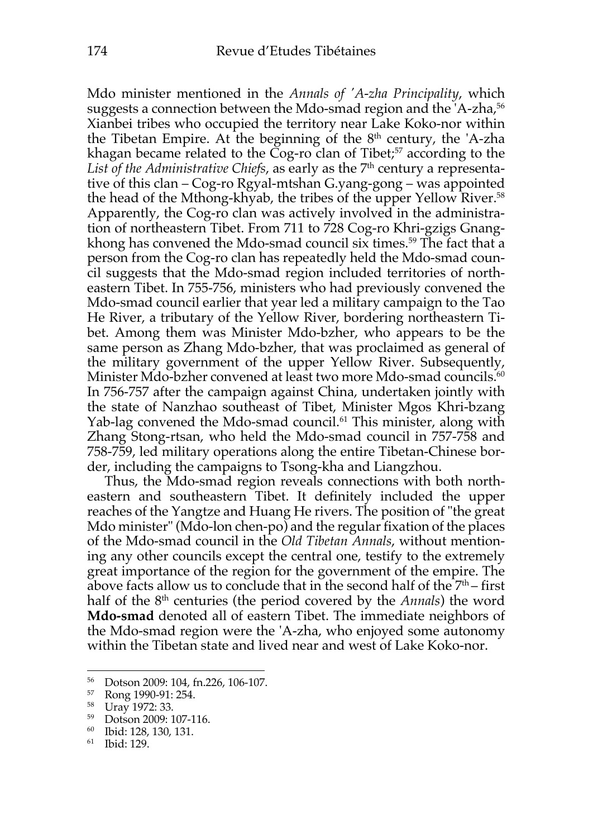Mdo minister mentioned in the *Annals of 'A-zha Principality*, which suggests a connection between the Mdo-smad region and the 'A-zha,<sup>56</sup> Xianbei tribes who occupied the territory near Lake Koko-nor within the Tibetan Empire. At the beginning of the  $8<sup>th</sup>$  century, the 'A-zha khagan became related to the Cog-ro clan of Tibet; $57$  according to the List of the Administrative Chiefs, as early as the 7<sup>th</sup> century a representative of this clan – Cog-ro Rgyal-mtshan G.yang-gong – was appointed the head of the Mthong-khyab, the tribes of the upper Yellow River.<sup>58</sup> Apparently, the Cog-ro clan was actively involved in the administration of northeastern Tibet. From 711 to 728 Cog-ro Khri-gzigs Gnangkhong has convened the Mdo-smad council six times. <sup>59</sup> The fact that a person from the Cog-ro clan has repeatedly held the Mdo-smad council suggests that the Mdo-smad region included territories of northeastern Tibet. In 755-756, ministers who had previously convened the Mdo-smad council earlier that year led a military campaign to the Tao He River, a tributary of the Yellow River, bordering northeastern Tibet. Among them was Minister Mdo-bzher, who appears to be the same person as Zhang Mdo-bzher, that was proclaimed as general of the military government of the upper Yellow River. Subsequently, Minister Mdo-bzher convened at least two more Mdo-smad councils. 60 In 756-757 after the campaign against China, undertaken jointly with the state of Nanzhao southeast of Tibet, Minister Mgos Khri-bzang Yab-lag convened the Mdo-smad council.<sup>61</sup> This minister, along with Zhang Stong-rtsan, who held the Mdo-smad council in 757-758 and 758-759, led military operations along the entire Tibetan-Chinese border, including the campaigns to Tsong-kha and Liangzhou.

Thus, the Mdo-smad region reveals connections with both northeastern and southeastern Tibet. It definitely included the upper reaches of the Yangtze and Huang He rivers. The position of "the great Mdo minister" (Mdo-lon chen-po) and the regular fixation of the places of the Mdo-smad council in the *Old Tibetan Annals*, without mentioning any other councils except the central one, testify to the extremely great importance of the region for the government of the empire. The above facts allow us to conclude that in the second half of the  $7<sup>th</sup>$  – first half of the 8<sup>th</sup> centuries (the period covered by the *Annals*) the word **Mdo-smad** denoted all of eastern Tibet. The immediate neighbors of the Mdo-smad region were the 'A-zha, who enjoyed some autonomy within the Tibetan state and lived near and west of Lake Koko-nor.

<sup>56</sup> Dotson 2009: 104, fn.226, 106-107.

<sup>57</sup> Rong 1990-91: 254.

<sup>58</sup> Uray 1972: 33.

 $^{59}$  Dotson 2009: 107-116.<br> $^{60}$  Ibid: 128, 120, 121

<sup>60</sup> Ibid: 128, 130, 131.

<sup>61</sup> Ibid: 129.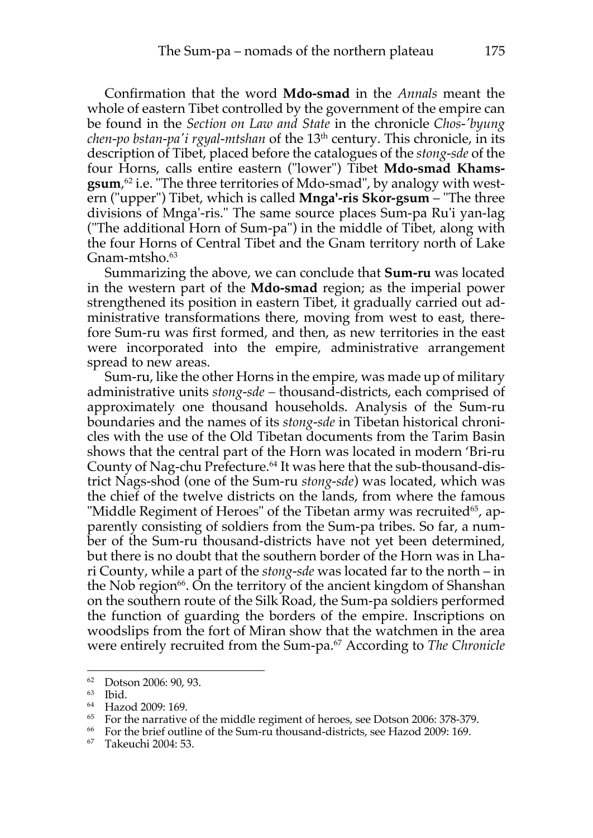Confirmation that the word **Mdo-smad** in the *Annals* meant the whole of eastern Tibet controlled by the government of the empire can be found in the *Section on Law and State* in the chronicle *Chos-'byung chen-po bstan-pa'i rgyal-mtshan* of the 13<sup>th</sup> century. This chronicle, in its description of Tibet, placed before the catalogues of the *stong-sde* of the four Horns, calls entire eastern ("lower") Tibet **Mdo-smad Khamsgsum**, <sup>62</sup> i.e. "The three territories of Mdo-smad", by analogy with western ("upper") Tibet, which is called **Mnga'-ris Skor-gsum** – "The three divisions of Mnga'-ris." The same source places Sum-pa Ru'i yan-lag ("The additional Horn of Sum-pa") in the middle of Tibet, along with the four Horns of Central Tibet and the Gnam territory north of Lake Gnam-mtsho. 63

Summarizing the above, we can conclude that **Sum-ru** was located in the western part of the **Mdo-smad** region; as the imperial power strengthened its position in eastern Tibet, it gradually carried out administrative transformations there, moving from west to east, therefore Sum-ru was first formed, and then, as new territories in the east were incorporated into the empire, administrative arrangement spread to new areas.

Sum-ru, like the other Horns in the empire, was made up of military administrative units *stong-sde –* thousand-districts, each comprised of approximately one thousand households. Analysis of the Sum-ru boundaries and the names of its *stong-sde* in Tibetan historical chronicles with the use of the Old Tibetan documents from the Tarim Basin shows that the central part of the Horn was located in modern 'Bri-ru County of Nag-chu Prefecture.<sup>64</sup> It was here that the sub-thousand-district Nags-shod (one of the Sum-ru *stong-sde*) was located, which was the chief of the twelve districts on the lands, from where the famous "Middle Regiment of Heroes" of the Tibetan army was recruited<sup>65</sup>, apparently consisting of soldiers from the Sum-pa tribes. So far, a number of the Sum-ru thousand-districts have not yet been determined, but there is no doubt that the southern border of the Horn was in Lhari County, while a part of the *stong-sde* was located far to the north – in the Nob region $^{66}$ . On the territory of the ancient kingdom of Shanshan on the southern route of the Silk Road, the Sum-pa soldiers performed the function of guarding the borders of the empire. Inscriptions on woodslips from the fort of Miran show that the watchmen in the area were entirely recruited from the Sum-pa.<sup>67</sup> According to *The Chronicle* 

<sup>62</sup> Dotson 2006: 90, 93.

<sup>63</sup> Ibid.

<sup>64</sup> Hazod 2009: 169.

<sup>65</sup> For the narrative of the middle regiment of heroes, see Dotson 2006: 378-379.

<sup>66</sup> For the brief outline of the Sum-ru thousand-districts, see Hazod 2009: 169.

<sup>67</sup> Takeuchi 2004: 53.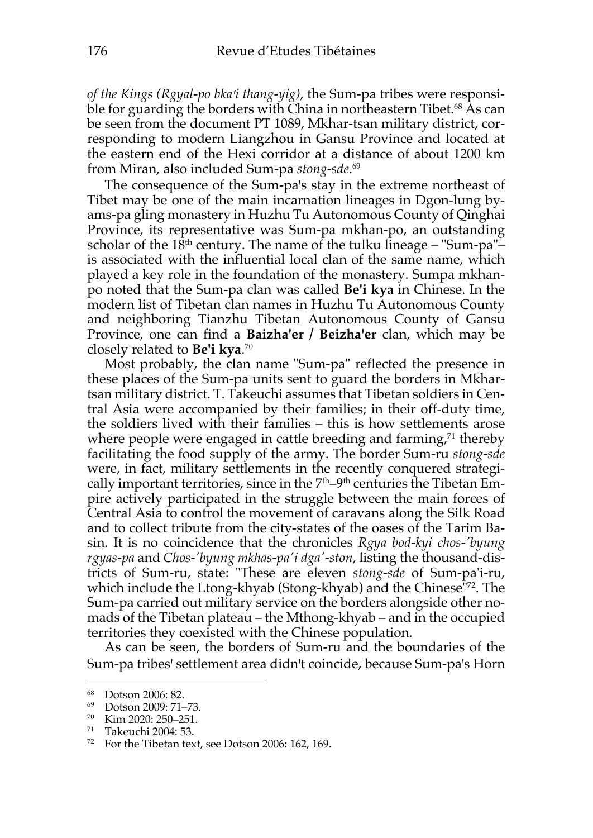*of the Kings (Rgyal-po bkaꞌi thang-yig)*, the Sum-pa tribes were responsible for guarding the borders with China in northeastern Tibet.<sup>68</sup> As can be seen from the document PT 1089, Mkhar-tsan military district, corresponding to modern Liangzhou in Gansu Province and located at the eastern end of the Hexi corridor at a distance of about 1200 km from Miran, also included Sum-pa *stong-sde*. 69

The consequence of the Sum-pa's stay in the extreme northeast of Tibet may be one of the main incarnation lineages in Dgon-lung byams-pa gling monastery in Huzhu Tu Autonomous County of Qinghai Province, its representative was Sum-pa mkhan-po, an outstanding scholar of the  $18<sup>th</sup>$  century. The name of the tulku lineage – "Sum-pa"– is associated with the influential local clan of the same name, which played a key role in the foundation of the monastery. Sumpa mkhanpo noted that the Sum-pa clan was called **Be'i kya** in Chinese. In the modern list of Tibetan clan names in Huzhu Tu Autonomous County and neighboring Tianzhu Tibetan Autonomous County of Gansu Province, one can find a **Baizha'er / Beizha'er** clan, which may be closely related to **Be'i kya**. 70

Most probably, the clan name "Sum-pa" reflected the presence in these places of the Sum-pa units sent to guard the borders in Mkhartsan military district. T. Takeuchi assumes that Tibetan soldiers in Central Asia were accompanied by their families; in their off-duty time, the soldiers lived with their families – this is how settlements arose where people were engaged in cattle breeding and farming, $\frac{7}{1}$  thereby facilitating the food supply of the army. The border Sum-ru *stong-sde* were, in fact, military settlements in the recently conquered strategically important territories, since in the  $7<sup>th</sup>-9<sup>th</sup>$  centuries the Tibetan Empire actively participated in the struggle between the main forces of Central Asia to control the movement of caravans along the Silk Road and to collect tribute from the city-states of the oases of the Tarim Basin. It is no coincidence that the сhronicles *Rgya bod-kyi chos-'byung rgyas-pa* and *Chos-'byung mkhas-pa'i dga'-ston*, listing the thousand-districts of Sum-ru, state: "These are eleven *stong-sde* of Sum-pa'i-ru, which include the Ltong-khyab (Stong-khyab) and the Chinese"72. The Sum-pa carried out military service on the borders alongside other nomads of the Tibetan plateau – the Mthong-khyab – and in the occupied territories they coexisted with the Chinese population.

As can be seen, the borders of Sum-ru and the boundaries of the Sum-pa tribes' settlement area didn't coincide, because Sum-pa's Horn

 $^{68}$  Dotson 2006: 82.

Dotson 2009: 71–73.

<sup>70</sup> Kim 2020: 250–251.

<sup>71</sup> Takeuchi 2004: 53.

<sup>72</sup> For the Tibetan text, see Dotson 2006: 162, 169.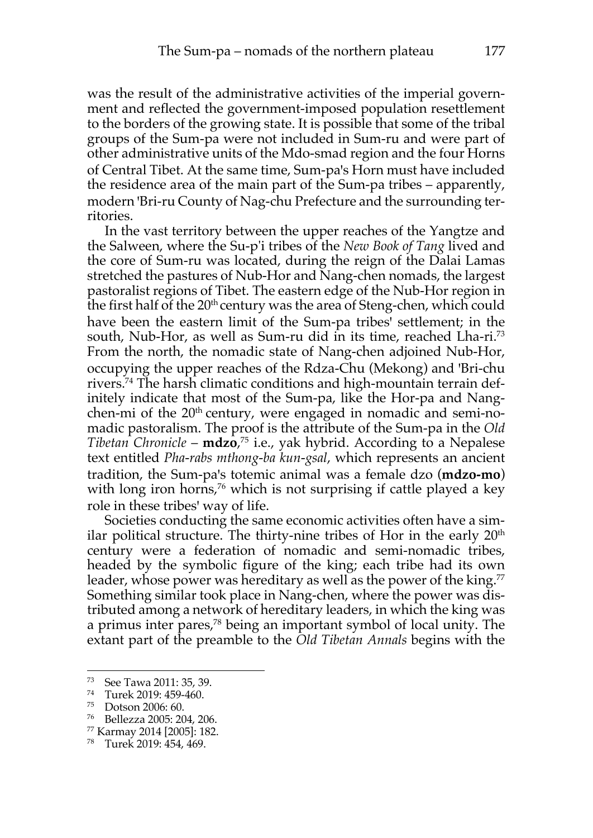was the result of the administrative activities of the imperial government and reflected the government-imposed population resettlement to the borders of the growing state. It is possible that some of the tribal groups of the Sum-pa were not included in Sum-ru and were part of other administrative units of the Mdo-smad region and the four Horns of Central Tibet. At the same time, Sum-pa's Horn must have included the residence area of the main part of the Sum-pa tribes – apparently, modern 'Bri-ru County of Nag-chu Prefecture and the surrounding territories.

In the vast territory between the upper reaches of the Yangtze and the Salween, where the Su-p'i tribes of the *New Book of Tang* lived and the core of Sum-ru was located, during the reign of the Dalai Lamas stretched the pastures of Nub-Hor and Nang-chen nomads, the largest pastoralist regions of Tibet. The eastern edge of the Nub-Hor region in the first half of the  $20<sup>th</sup>$  century was the area of Steng-chen, which could have been the eastern limit of the Sum-pa tribes' settlement; in the south, Nub-Hor, as well as Sum-ru did in its time, reached Lha-ri.<sup>73</sup> From the north, the nomadic state of Nang-chen adjoined Nub-Hor, occupying the upper reaches of the Rdza-Chu (Mekong) and 'Bri-chu rivers.74 The harsh climatic conditions and high-mountain terrain definitely indicate that most of the Sum-pa, like the Hor-pa and Nangchen-mi of the 20<sup>th</sup> century, were engaged in nomadic and semi-nomadic pastoralism. The proof is the attribute of the Sum-pa in the *Old Tibetan Chronicle* – **mdzo**, <sup>75</sup> i.e., yak hybrid. According to a Nepalese text entitled *Pha-rabs mthong-ba kun-gsal*, which represents an ancient tradition, the Sum-paꞌs totemic animal was a female dzo (**mdzo-mo**) with long iron horns,<sup>76</sup> which is not surprising if cattle played a key role in these tribes' way of life.

Societies conducting the same economic activities often have a similar political structure. The thirty-nine tribes of Hor in the early 20<sup>th</sup> century were a federation of nomadic and semi-nomadic tribes, headed by the symbolic figure of the king; each tribe had its own leader, whose power was hereditary as well as the power of the king.<sup>77</sup> Something similar took place in Nang-chen, where the power was distributed among a network of hereditary leaders, in which the king was a primus inter pares,78 being an important symbol of local unity. The extant part of the preamble to the *Old Tibetan Annals* begins with the

<sup>73</sup> See Tawa 2011: 35, 39.

<sup>74</sup> Turek 2019: 459-460.

<sup>75</sup> Dotson 2006: 60.

<sup>76</sup> Bellezza 2005: 204, 206.

<sup>77</sup> Karmay 2014 [2005]: 182.

<sup>78</sup> Turek 2019: 454, 469.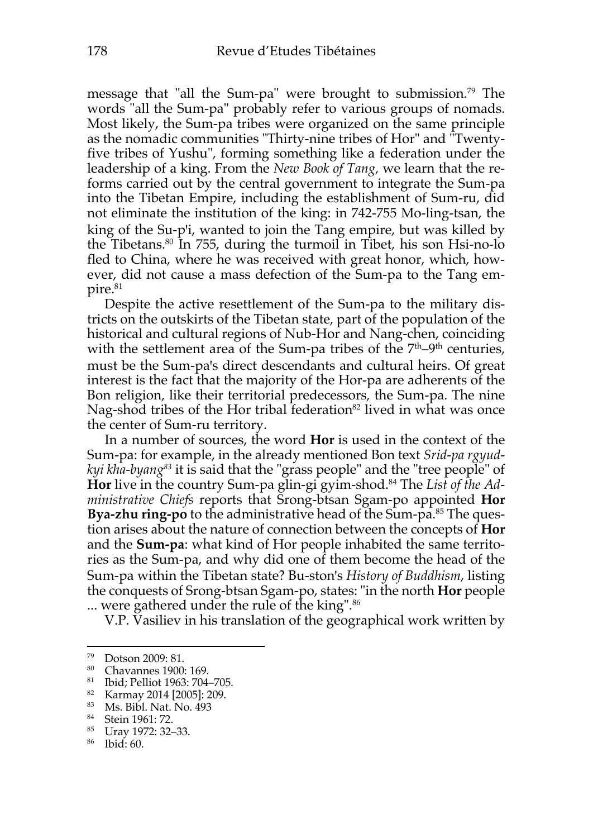message that "all the Sum-pa" were brought to submission.79 The words "all the Sum-pa" probably refer to various groups of nomads. Most likely, the Sum-pa tribes were organized on the same principle as the nomadic communities "Thirty-nine tribes of Hor" and "Twentyfive tribes of Yushu", forming something like a federation under the leadership of a king. From the *New Book of Tang,* we learn that the reforms carried out by the central government to integrate the Sum-pa into the Tibetan Empire, including the establishment of Sum-ru, did not eliminate the institution of the king: in 742-755 Mo-ling-tsan, the king of the Su-p'i, wanted to join the Tang empire, but was killed by the Tibetans.<sup>80</sup> In 755, during the turmoil in Tibet, his son Hsi-no-lo fled to China, where he was received with great honor, which, however, did not cause a mass defection of the Sum-pa to the Tang empire.<sup>81</sup>

Despite the active resettlement of the Sum-pa to the military districts on the outskirts of the Tibetan state, part of the population of the historical and cultural regions of Nub-Hor and Nang-chen, coinciding with the settlement area of the Sum-pa tribes of the  $7<sup>th</sup>-9<sup>th</sup>$  centuries, must be the Sum-pa's direct descendants and cultural heirs. Of great interest is the fact that the majority of the Hor-pa are adherents of the Bon religion, like their territorial predecessors, the Sum-pa. The nine Nag-shod tribes of the Hor tribal federation<sup>82</sup> lived in what was once the center of Sum-ru territory.

In a number of sources, the word **Hor** is used in the context of the Sum-pa: for example, in the already mentioned Bon text *Srid-pa rgyudkyi kha-byang83* it is said that the "grass people" and the "tree people" of **Hor** live in the country Sum-pa glin-gi gyim-shod.84 The *List of the Administrative Chiefs* reports that Srong-btsan Sgam-po appointed **Hor Bya-zhu ring-po** to the administrative head of the Sum-pa.<sup>85</sup> The question arises about the nature of connection between the concepts of **Hor** and the **Sum-pa**: what kind of Hor people inhabited the same territories as the Sum-pa, and why did one of them become the head of the Sum-pa within the Tibetan state? Bu-ston's *History of Buddhism*, listing the conquests of Srong-btsan Sgam-po, states: "in the north **Hor** people ... were gathered under the rule of the king". 86

V.P. Vasiliev in his translation of the geographical work written by

 $^{79}$  Dotson 2009: 81.<br> $^{80}$  Chayannes 1900

Chavannes 1900: 169.

<sup>81</sup> Ibid; Pelliot 1963: 704–705.

<sup>82</sup> Karmay 2014 [2005]: 209.

<sup>83</sup> Ms. Bibl. Nat. No. 493

<sup>84</sup> Stein 1961: 72.

<sup>85</sup> Uray 1972: 32–33.

<sup>86</sup> Ibid: 60.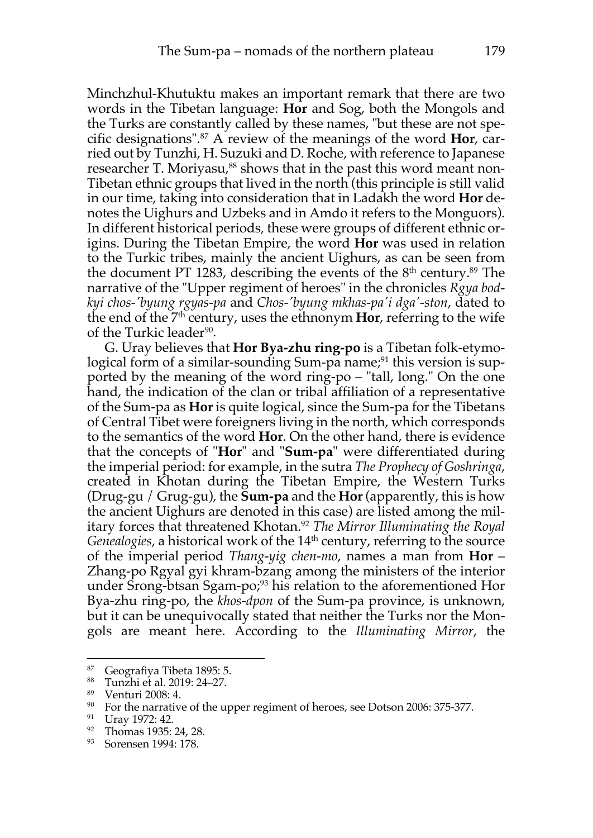Minchzhul-Khutuktu makes an important remark that there are two words in the Tibetan language: **Hor** and Sog, both the Mongols and the Turks are constantly called by these names, "but these are not specific designations".87 A review of the meanings of the word **Hor**, carried out by Tunzhi, H. Suzuki and D. Roche, with reference to Japanese researcher T. Moriyasu,<sup>88</sup> shows that in the past this word meant non-Tibetan ethnic groups that lived in the north (this principle is still valid in our time, taking into consideration that in Ladakh the word **Hor** denotes the Uighurs and Uzbeks and in Amdo it refers to the Monguors). In different historical periods, these were groups of different ethnic origins. During the Tibetan Empire, the word **Hor** was used in relation to the Turkic tribes, mainly the ancient Uighurs, as can be seen from the document PT 1283, describing the events of the  $8<sup>th</sup>$  century.<sup>89</sup> The narrative of the "Upper regiment of heroes" in the chronicles *Rgya bodkyi chos-'byung rgyas-pa* and *Chos-'byung mkhas-pa'i dga'-ston*, dated to the end of the 7th century, uses the ethnonym **Hor**, referring to the wife of the Turkic leader<sup>90</sup>.

G. Uray believes that **Hor Bya-zhu ring-po** is a Tibetan folk-etymological form of a similar-sounding Sum-pa name;<sup>91</sup> this version is supported by the meaning of the word ring-po – "tall, long." On the one hand, the indication of the clan or tribal affiliation of a representative of the Sum-pa as **Hor** is quite logical, since the Sum-pa for the Tibetans of Central Tibet were foreigners living in the north, which corresponds to the semantics of the word **Hor**. On the other hand, there is evidence that the concepts of "**Hor**" and "**Sum-pa**" were differentiated during the imperial period: for example, in the sutra *The Prophecy of Goshringa*, created in Khotan during the Tibetan Empire, the Western Turks (Drug-gu / Grug-gu), the **Sum-pa** and the **Hor** (apparently, this is how the ancient Uighurs are denoted in this case) are listed among the military forces that threatened Khotan.92 *The Mirror Illuminating the Royal Genealogies*, a historical work of the 14<sup>th</sup> century, referring to the source of the imperial period *Thang-yig chen-mo*, names a man from **Hor** – Zhang-po Rgyal gyi khram-bzang among the ministers of the interior under Srong-btsan Sgam-po;<sup>93</sup> his relation to the aforementioned Hor Bya-zhu ring-po, the *khos-dpon* of the Sum-pa province, is unknown, but it can be unequivocally stated that neither the Turks nor the Mongols are meant here. According to the *Illuminating Mirror*, the

<sup>87</sup> Geografiya Tibeta 1895: 5.

<sup>88</sup> Tunzhi et al. 2019: 24–27.

<sup>89</sup> Venturi 2008: 4.

<sup>&</sup>lt;sup>90</sup> For the narrative of the upper regiment of heroes, see Dotson 2006: 375-377.

<sup>91</sup> Uray 1972: 42.

<sup>92</sup> Thomas 1935: 24, 28.

<sup>93</sup> Sorensen 1994: 178.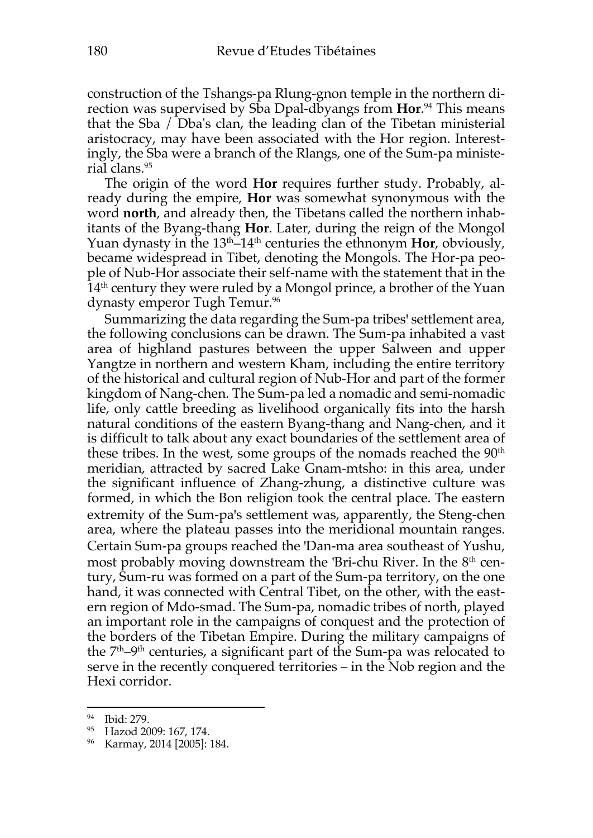construction of the Tshangs-pa Rlung-gnon temple in the northern direction was supervised by Sba Dpal-dbyangs from **Hor**. <sup>94</sup> This means that the Sba / Dba's clan, the leading clan of the Tibetan ministerial aristocracy, may have been associated with the Hor region. Interestingly, the Sba were a branch of the Rlangs, one of the Sum-pa ministerial clans.95

The origin of the word **Hor** requires further study. Probably, already during the empire, **Hor** was somewhat synonymous with the word **north**, and already then, the Tibetans called the northern inhabitants of the Byang-thang **Hor**. Later, during the reign of the Mongol Yuan dynasty in the 13<sup>th</sup>–14<sup>th</sup> centuries the ethnonym **Hor**, obviously, became widespread in Tibet, denoting the Mongols. The Hor-pa people of Nub-Hor associate their self-name with the statement that in the  $14<sup>th</sup>$  century they were ruled by a Mongol prince, a brother of the Yuan dynasty emperor Tugh Temur.<sup>96</sup>

Summarizing the data regarding the Sum-pa tribes' settlement area, the following conclusions can be drawn. The Sum-pa inhabited a vast area of highland pastures between the upper Salween and upper Yangtze in northern and western Kham, including the entire territory of the historical and cultural region of Nub-Hor and part of the former kingdom of Nang-chen. The Sum-pa led a nomadic and semi-nomadic life, only cattle breeding as livelihood organically fits into the harsh natural conditions of the eastern Byang-thang and Nang-chen, and it is difficult to talk about any exact boundaries of the settlement area of these tribes. In the west, some groups of the nomads reached the 90<sup>th</sup> meridian, attracted by sacred Lake Gnam-mtsho: in this area, under the significant influence of Zhang-zhung, a distinctive culture was formed, in which the Bon religion took the central place. The eastern extremity of the Sum-pa's settlement was, apparently, the Steng-chen area, where the plateau passes into the meridional mountain ranges. Certain Sum-pa groups reached the 'Dan-ma area southeast of Yushu, most probably moving downstream the 'Bri-chu River. In the  $8<sup>th</sup>$  century, Sum-ru was formed on a part of the Sum-pa territory, on the one hand, it was connected with Central Tibet, on the other, with the eastern region of Mdo-smad. The Sum-pa, nomadic tribes of north, played an important role in the campaigns of conquest and the protection of the borders of the Tibetan Empire. During the military campaigns of the  $7<sup>th</sup>-9<sup>th</sup>$  centuries, a significant part of the Sum-pa was relocated to serve in the recently conquered territories – in the Nob region and the Hexi corridor.

<sup>94</sup> Ibid: 279.

<sup>95</sup> Hazod 2009: 167, 174.

<sup>96</sup> Karmay, 2014 [2005]: 184.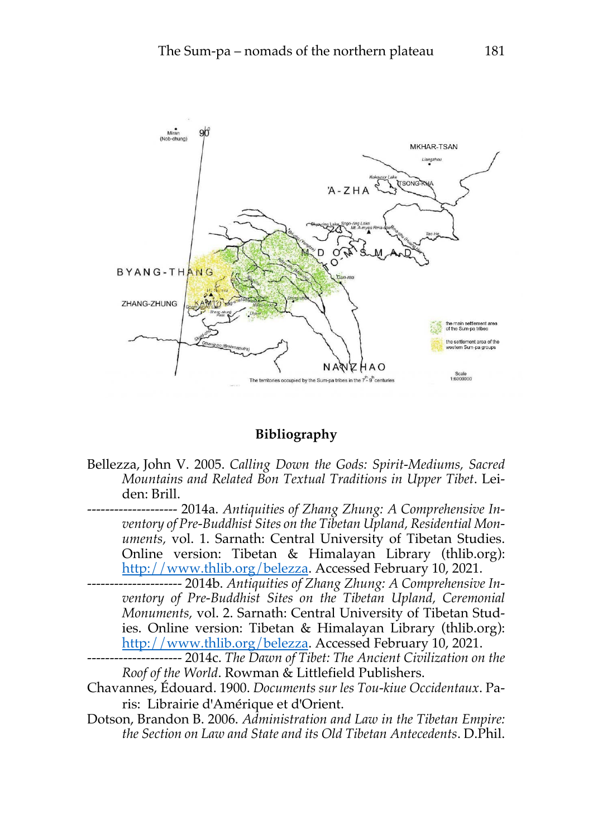

## **Bibliography**

- Bellezza, John V. 2005. *Calling Down the Gods: Spirit-Mediums, Sacred Mountains and Related Bon Textual Traditions in Upper Tibet*. Leiden: Brill.
- -------------------- 2014a. *Antiquities of Zhang Zhung: A Comprehensive Inventory of Pre-Buddhist Sites on the Tibetan Upland, Residential Monuments,* vol. 1. Sarnath: Central University of Tibetan Studies. Online version: Tibetan & Himalayan Library (thlib.org): http://www.thlib.org/belezza. Accessed February 10, 2021.
- --------------------- 2014b. *Antiquities of Zhang Zhung: A Comprehensive Inventory of Pre-Buddhist Sites on the Tibetan Upland, Ceremonial Monuments,* vol. 2. Sarnath: Central University of Tibetan Studies. Online version: Tibetan & Himalayan Library (thlib.org): http://www.thlib.org/belezza. Accessed February 10, 2021.
- --------------------- 2014c. *The Dawn of Tibet: The Ancient Civilization on the Roof of the World*. Rowman & Littlefield Publishers.
- Chavannes, Édouard. 1900. *Documents sur les Tou-kiue Occidentaux*. Paris: Librairie d'Amérique et d'Orient.
- Dotson, Brandon B. 2006. *Administration and Law in the Tibetan Empire: the Section on Law and State and its Old Tibetan Antecedents*. D.Phil.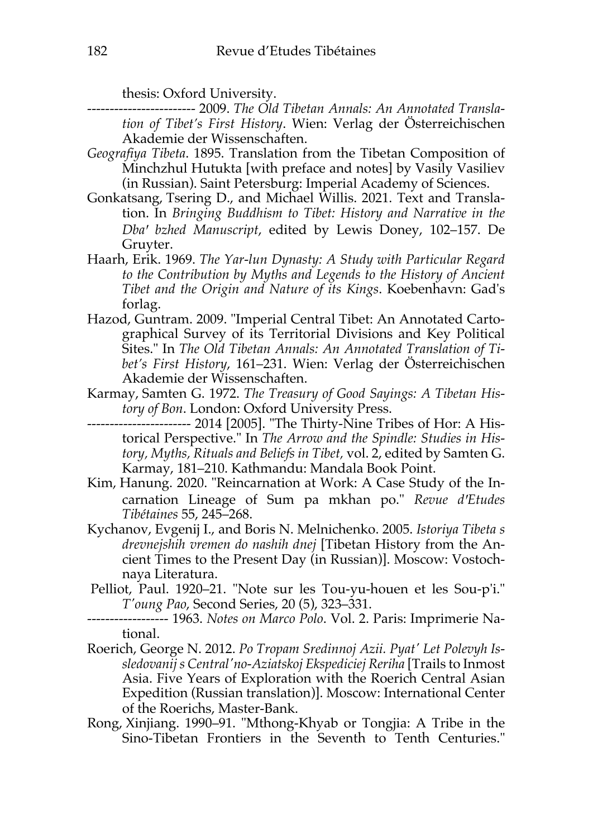thesis: Oxford University.

------------------------ 2009. *The Old Tibetan Annals: An Annotated Translation of Tibet's First History*. Wien: Verlag der Österreichischen Akademie der Wissenschaften.

- *Geografiya Tibeta*. 1895. Translation from the Tibetan Composition of Minchzhul Hutukta [with preface and notes] by Vasily Vasiliev (in Russian). Saint Petersburg: Imperial Academy of Sciences.
- Gonkatsang, Tsering D., and Michael Willis. 2021. Text and Translation. In *Bringing Buddhism to Tibet: History and Narrative in the Dbaꞌ bzhed Manuscript*, edited by Lewis Doney, 102–157. De Gruyter.
- Haarh, Erik. 1969. *The Yar-lun Dynasty: A Study with Particular Regard to the Contribution by Myths and Legends to the History of Ancient Tibet and the Origin and Nature of its Kings*. Koebenhavn: Gad's forlag.
- Hazod, Guntram. 2009. "Imperial Central Tibet: An Annotated Cartographical Survey of its Territorial Divisions and Key Political Sites." In *The Old Tibetan Annals: An Annotated Translation of Tibet's First History*, 161–231. Wien: Verlag der Österreichischen Akademie der Wissenschaften.
- Karmay, Samten G. 1972. *The Treasury of Good Sayings: A Tibetan History of Bon*. London: Oxford University Press.
- ----------------------- 2014 [2005]. "The Thirty-Nine Tribes of Hor: A Historical Perspective." In *The Arrow and the Spindle: Studies in History, Myths, Rituals and Beliefs in Tibet,* vol. 2, edited by Samten G. Karmay, 181–210. Kathmandu: Mandala Book Point.
- Kim, Hanung. 2020. "Reincarnation at Work: A Case Study of the Incarnation Lineage of Sum pa mkhan po." Revue d'Etudes *Tibétaines* 55, 245–268.
- Kychanov, Evgenij I., and Boris N. Melnichenko. 2005. *Istoriya Tibeta s drevnejshih vremen do nashih dnej* [Tibetan History from the Ancient Times to the Present Day (in Russian)]. Moscow: Vostochnaya Literatura.
- Pelliot, Paul. 1920–21. "Note sur les Tou-yu-houen et les Sou-p'i." *T'oung Pao*, Second Series, 20 (5), 323–331.
- ------------------ 1963. *Notes on Marco Polo*. Vol. 2. Paris: Imprimerie National.
- Roerich, George N. 2012. *Po Tropam Sredinnoj Azii. Pyat' Let Polevyh Issledovanij s Central'no-Aziatskoj Ekspediciej Reriha* [Trails to Inmost Asia. Five Years of Exploration with the Roerich Central Asian Expedition (Russian translation)]. Moscow: International Center of the Roerichs, Master-Bank.
- Rong, Xinjiang. 1990–91. "Mthong-Khyab or Tongjia: A Tribe in the Sino-Tibetan Frontiers in the Seventh to Tenth Centuries."